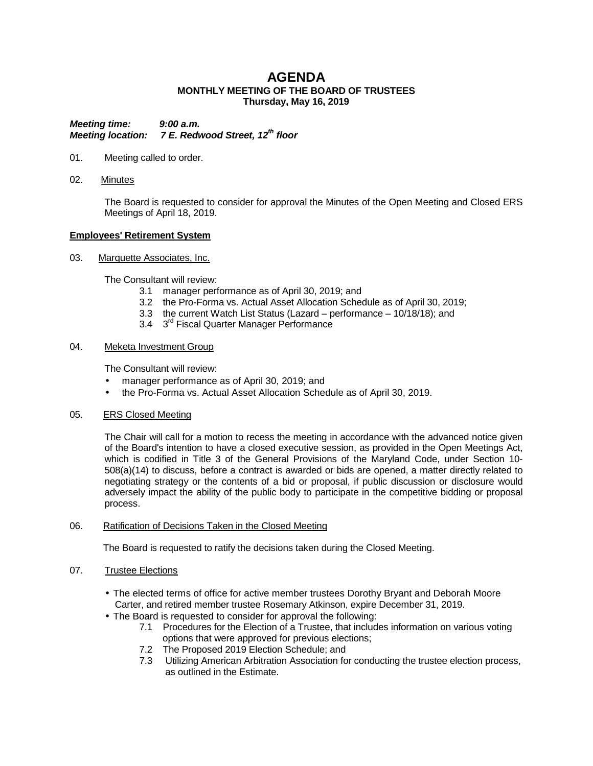# **AGENDA MONTHLY MEETING OF THE BOARD OF TRUSTEES Thursday, May 16, 2019**

*Meeting time: 9:00 a.m. Meeting location:* 7 E. Redwood Street, 12<sup>th</sup> floor

- 01. Meeting called to order.
- 02. Minutes

The Board is requested to consider for approval the Minutes of the Open Meeting and Closed ERS Meetings of April 18, 2019.

# **Employees' Retirement System**

03. Marquette Associates, Inc.

The Consultant will review:

- 3.1 manager performance as of April 30, 2019; and
- 3.2 the Pro-Forma vs. Actual Asset Allocation Schedule as of April 30, 2019;
- 3.3 the current Watch List Status (Lazard performance 10/18/18); and
- 3.4 3<sup>rd</sup> Fiscal Quarter Manager Performance

# 04. Meketa Investment Group

The Consultant will review:

- manager performance as of April 30, 2019; and ¥.
- t, the Pro-Forma vs. Actual Asset Allocation Schedule as of April 30, 2019.

# 05. ERS Closed Meeting

The Chair will call for a motion to recess the meeting in accordance with the advanced notice given of the Board's intention to have a closed executive session, as provided in the Open Meetings Act, which is codified in Title 3 of the General Provisions of the Maryland Code, under Section 10- 508(a)(14) to discuss, before a contract is awarded or bids are opened, a matter directly related to negotiating strategy or the contents of a bid or proposal, if public discussion or disclosure would adversely impact the ability of the public body to participate in the competitive bidding or proposal process.

# 06. Ratification of Decisions Taken in the Closed Meeting

The Board is requested to ratify the decisions taken during the Closed Meeting.

# 07. Trustee Elections

- The elected terms of office for active member trustees Dorothy Bryant and Deborah Moore Carter, and retired member trustee Rosemary Atkinson, expire December 31, 2019.
- The Board is requested to consider for approval the following:
	- 7.1 Procedures for the Election of a Trustee, that includes information on various voting options that were approved for previous elections;
	- 7.2 The Proposed 2019 Election Schedule; and
	- 7.3 Utilizing American Arbitration Association for conducting the trustee election process, as outlined in the Estimate.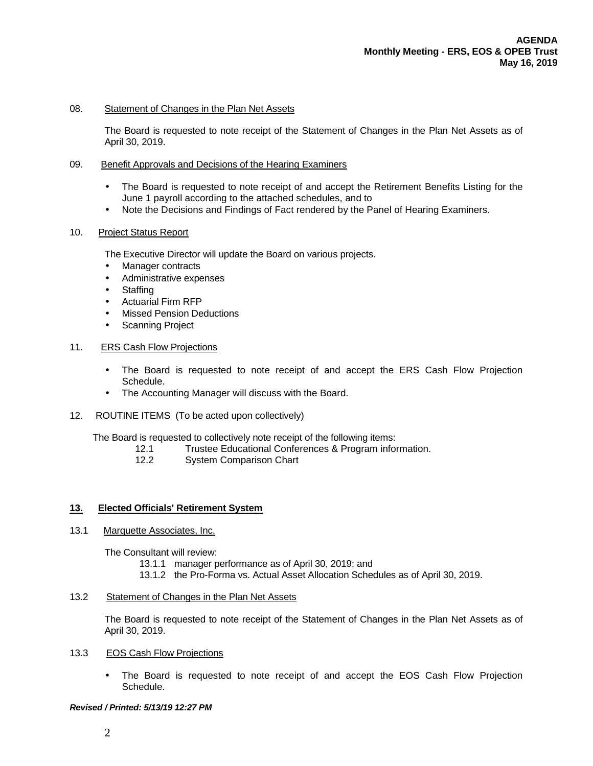### 08. Statement of Changes in the Plan Net Assets

The Board is requested to note receipt of the Statement of Changes in the Plan Net Assets as of April 30, 2019.

#### 09. Benefit Approvals and Decisions of the Hearing Examiners

- The Board is requested to note receipt of and accept the Retirement Benefits Listing for the June 1 payroll according to the attached schedules, and to
- Note the Decisions and Findings of Fact rendered by the Panel of Hearing Examiners.

### 10. Project Status Report

The Executive Director will update the Board on various projects.

- Manager contracts
- Administrative expenses
- **Staffing**
- Actuarial Firm RFP
- Missed Pension Deductions
- Scanning Project

#### 11. ERS Cash Flow Projections

- The Board is requested to note receipt of and accept the ERS Cash Flow Projection Schedule.
- The Accounting Manager will discuss with the Board.  $\blacksquare$
- 12. ROUTINE ITEMS (To be acted upon collectively)

The Board is requested to collectively note receipt of the following items:<br>12.1 Trustee Educational Conferences & Program infor

- Trustee Educational Conferences & Program information.
- 12.2 System Comparison Chart

# **13. Elected Officials' Retirement System**

13.1 Marquette Associates, Inc.

The Consultant will review:

- 13.1.1 manager performance as of April 30, 2019; and
- 13.1.2 the Pro-Forma vs. Actual Asset Allocation Schedules as of April 30, 2019.

### 13.2 Statement of Changes in the Plan Net Assets

The Board is requested to note receipt of the Statement of Changes in the Plan Net Assets as of April 30, 2019.

- 13.3 EOS Cash Flow Projections
	- The Board is requested to note receipt of and accept the EOS Cash Flow Projection l, Schedule.

#### *Revised / Printed: 5/13/19 12:27 PM*